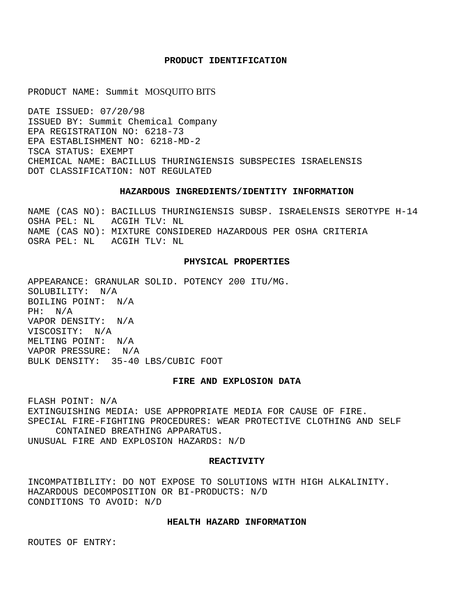# **PRODUCT IDENTIFICATION**

PRODUCT NAME: Summit MOSQUITO BITS

DATE ISSUED: 07/20/98 ISSUED BY: Summit Chemical Company EPA REGISTRATION NO: 6218-73 EPA ESTABLISHMENT NO: 6218-MD-2 TSCA STATUS: EXEMPT CHEMICAL NAME: BACILLUS THURINGIENSIS SUBSPECIES ISRAELENSIS DOT CLASSIFICATION: NOT REGULATED

# **HAZARDOUS INGREDIENTS/IDENTITY INFORMATION**

NAME (CAS NO): BACILLUS THURINGIENSIS SUBSP. ISRAELENSIS SEROTYPE H-14 OSHA PEL: NL ACGIH TLV: NL NAME (CAS NO): MIXTURE CONSIDERED HAZARDOUS PER OSHA CRITERIA OSRA PEL: NL ACGIH TLV: NL

## **PHYSICAL PROPERTIES**

APPEARANCE: GRANULAR SOLID. POTENCY 200 ITU/MG. SOLUBILITY: N/A BOILING POINT: N/A PH: N/A VAPOR DENSITY: N/A VISCOSITY: N/A MELTING POINT: N/A VAPOR PRESSURE: N/A BULK DENSITY: 35-40 LBS/CUBIC FOOT

# **FIRE AND EXPLOSION DATA**

FLASH POINT: N/A EXTINGUISHING MEDIA: USE APPROPRIATE MEDIA FOR CAUSE OF FIRE. SPECIAL FIRE-FIGHTING PROCEDURES: WEAR PROTECTIVE CLOTHING AND SELF CONTAINED BREATHING APPARATUS. UNUSUAL FIRE AND EXPLOSION HAZARDS: N/D

#### **REACTIVITY**

INCOMPATIBILITY: DO NOT EXPOSE TO SOLUTIONS WITH HIGH ALKALINITY. HAZARDOUS DECOMPOSITION OR BI-PRODUCTS: N/D CONDITIONS TO AVOID: N/D

## **HEALTH HAZARD INFORMATION**

ROUTES OF ENTRY: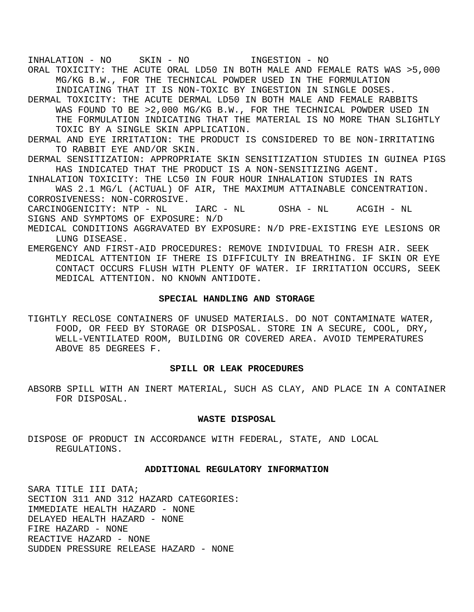INHALATION - NO SKIN - NO INGESTION - NO ORAL TOXICITY: THE ACUTE ORAL LD50 IN BOTH MALE AND FEMALE RATS WAS >5,000 MG/KG B.W., FOR THE TECHNICAL POWDER USED IN THE FORMULATION INDICATING THAT IT IS NON-TOXIC BY INGESTION IN SINGLE DOSES. DERMAL TOXICITY: THE ACUTE DERMAL LD50 IN BOTH MALE AND FEMALE RABBITS WAS FOUND TO BE >2,000 MG/KG B.W., FOR THE TECHNICAL POWDER USED IN

THE FORMULATION INDICATING THAT THE MATERIAL IS NO MORE THAN SLIGHTLY TOXIC BY A SINGLE SKIN APPLICATION.

- DERMAL AND EYE IRRITATION: THE PRODUCT IS CONSIDERED TO BE NON-IRRITATING TO RABBIT EYE AND/OR SKIN.
- DERMAL SENSITIZATION: APPROPRIATE SKIN SENSITIZATION STUDIES IN GUINEA PIGS HAS INDICATED THAT THE PRODUCT IS A NON-SENSITIZING AGENT.
- INHALATION TOXICITY: THE LC50 IN FOUR HOUR INHALATION STUDIES IN RATS WAS 2.1 MG/L (ACTUAL) OF AIR, THE MAXIMUM ATTAINABLE CONCENTRATION. CORROSIVENESS: NON-CORROSIVE.
- CARCINOGENICITY: NTP NL IARC NL OSHA NL ACGIH NL SIGNS AND SYMPTOMS OF EXPOSURE: N/D
- MEDICAL CONDITIONS AGGRAVATED BY EXPOSURE: N/D PRE-EXISTING EYE LESIONS OR LUNG DISEASE.
- EMERGENCY AND FIRST-AID PROCEDURES: REMOVE INDIVIDUAL TO FRESH AIR. SEEK MEDICAL ATTENTION IF THERE IS DIFFICULTY IN BREATHING. IF SKIN OR EYE CONTACT OCCURS FLUSH WITH PLENTY OF WATER. IF IRRITATION OCCURS, SEEK MEDICAL ATTENTION. NO KNOWN ANTIDOTE.

## **SPECIAL HANDLING AND STORAGE**

TIGHTLY RECLOSE CONTAINERS OF UNUSED MATERIALS. DO NOT CONTAMINATE WATER, FOOD, OR FEED BY STORAGE OR DISPOSAL. STORE IN A SECURE, COOL, DRY, WELL-VENTILATED ROOM, BUILDING OR COVERED AREA. AVOID TEMPERATURES ABOVE 85 DEGREES F.

### **SPILL OR LEAK PROCEDURES**

ABSORB SPILL WITH AN INERT MATERIAL, SUCH AS CLAY, AND PLACE IN A CONTAINER FOR DISPOSAL.

### **WASTE DISPOSAL**

DISPOSE OF PRODUCT IN ACCORDANCE WITH FEDERAL, STATE, AND LOCAL REGULATIONS.

### **ADDITIONAL REGULATORY INFORMATION**

SARA TITLE III DATA; SECTION 311 AND 312 HAZARD CATEGORIES: IMMEDIATE HEALTH HAZARD - NONE DELAYED HEALTH HAZARD - NONE FIRE HAZARD - NONE REACTIVE HAZARD - NONE SUDDEN PRESSURE RELEASE HAZARD - NONE